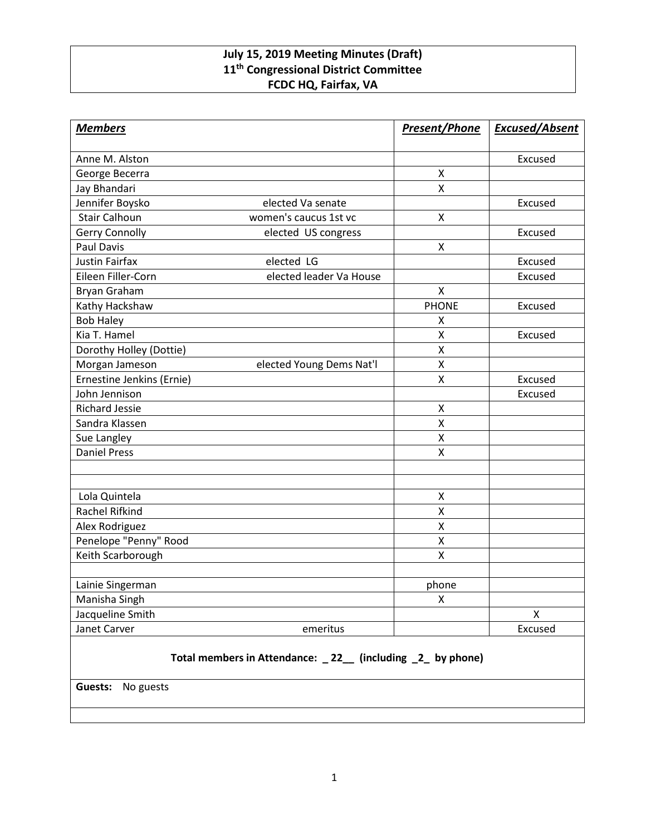## **July 15, 2019 Meeting Minutes (Draft) 11th Congressional District Committee FCDC HQ, Fairfax, VA**

| <b>Members</b>                                             |                          | <b>Present/Phone</b> | <b>Excused/Absent</b> |
|------------------------------------------------------------|--------------------------|----------------------|-----------------------|
| Anne M. Alston                                             |                          |                      | Excused               |
| George Becerra                                             |                          | $\pmb{\mathsf{X}}$   |                       |
| Jay Bhandari                                               |                          | $\mathsf{X}$         |                       |
| Jennifer Boysko                                            | elected Va senate        |                      | Excused               |
| <b>Stair Calhoun</b>                                       | women's caucus 1st vc    | $\mathsf{x}$         |                       |
| <b>Gerry Connolly</b>                                      | elected US congress      |                      | Excused               |
| Paul Davis                                                 |                          | X                    |                       |
| <b>Justin Fairfax</b>                                      | elected LG               |                      | Excused               |
| Eileen Filler-Corn                                         | elected leader Va House  |                      | Excused               |
| <b>Bryan Graham</b>                                        |                          | $\mathsf{x}$         |                       |
| Kathy Hackshaw                                             |                          | <b>PHONE</b>         | Excused               |
| <b>Bob Haley</b>                                           |                          | X                    |                       |
| Kia T. Hamel                                               |                          | $\mathsf{X}$         | Excused               |
| Dorothy Holley (Dottie)                                    |                          | $\pmb{\mathsf{X}}$   |                       |
| Morgan Jameson                                             | elected Young Dems Nat'l | $\mathsf{X}% _{0}$   |                       |
| Ernestine Jenkins (Ernie)                                  |                          | X                    | Excused               |
| John Jennison                                              |                          |                      | Excused               |
| <b>Richard Jessie</b>                                      |                          | $\pmb{\mathsf{X}}$   |                       |
| Sandra Klassen                                             |                          | $\mathsf{X}$         |                       |
| Sue Langley                                                |                          | $\mathsf{X}$         |                       |
| <b>Daniel Press</b>                                        |                          | $\mathsf{x}$         |                       |
|                                                            |                          |                      |                       |
| Lola Quintela                                              |                          | X                    |                       |
| Rachel Rifkind                                             |                          | X                    |                       |
| Alex Rodriguez                                             |                          | $\pmb{\mathsf{X}}$   |                       |
| Penelope "Penny" Rood                                      |                          | Χ                    |                       |
| Keith Scarborough                                          |                          | X                    |                       |
| Lainie Singerman                                           |                          | phone                |                       |
| Manisha Singh                                              |                          | X                    |                       |
| Jacqueline Smith                                           |                          |                      | $\pmb{\mathsf{X}}$    |
| Janet Carver                                               | emeritus                 |                      | Excused               |
| Total members in Attendance: _22_ (including _2_ by phone) |                          |                      |                       |

**Guests:** No guests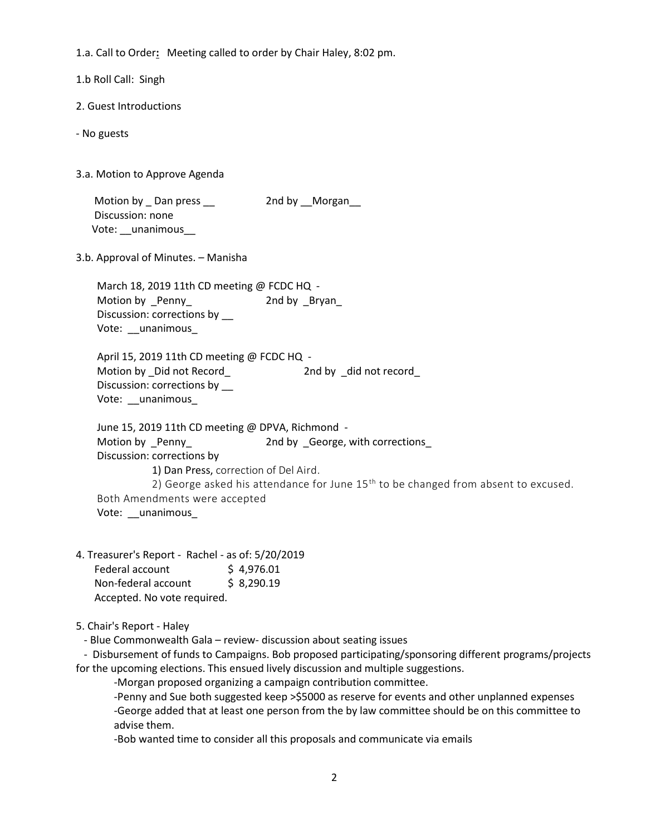1.a. Call to Order**:** Meeting called to order by Chair Haley, 8:02 pm.

1.b Roll Call: Singh

- 2. Guest Introductions
- No guests
- 3.a. Motion to Approve Agenda

Motion by \_ Dan press \_\_ 2nd by \_\_Morgan\_ Discussion: none Vote: \_\_unanimous\_

3.b. Approval of Minutes. – Manisha

March 18, 2019 11th CD meeting @ FCDC HQ -Motion by Penny 2nd by Bryan Discussion: corrections by \_\_ Vote: \_\_unanimous\_

April 15, 2019 11th CD meeting @ FCDC HQ -Motion by \_Did not Record\_ The Conduction of the 2nd by \_did not record Discussion: corrections by \_\_ Vote: \_\_unanimous\_

 June 15, 2019 11th CD meeting @ DPVA, Richmond - Motion by Penny 2nd by George, with corrections Discussion: corrections by 1) Dan Press, correction of Del Aird. 2) George asked his attendance for June  $15<sup>th</sup>$  to be changed from absent to excused. Both Amendments were accepted Vote: \_\_unanimous\_

4. Treasurer's Report - Rachel - as of: 5/20/2019 Federal account  $\qquad$  \$ 4,976.01 Non-federal account \$ 8,290.19 Accepted. No vote required.

5. Chair's Report - Haley

- Blue Commonwealth Gala – review- discussion about seating issues

 - Disbursement of funds to Campaigns. Bob proposed participating/sponsoring different programs/projects for the upcoming elections. This ensued lively discussion and multiple suggestions.

-Morgan proposed organizing a campaign contribution committee.

-Penny and Sue both suggested keep >\$5000 as reserve for events and other unplanned expenses -George added that at least one person from the by law committee should be on this committee to advise them.

-Bob wanted time to consider all this proposals and communicate via emails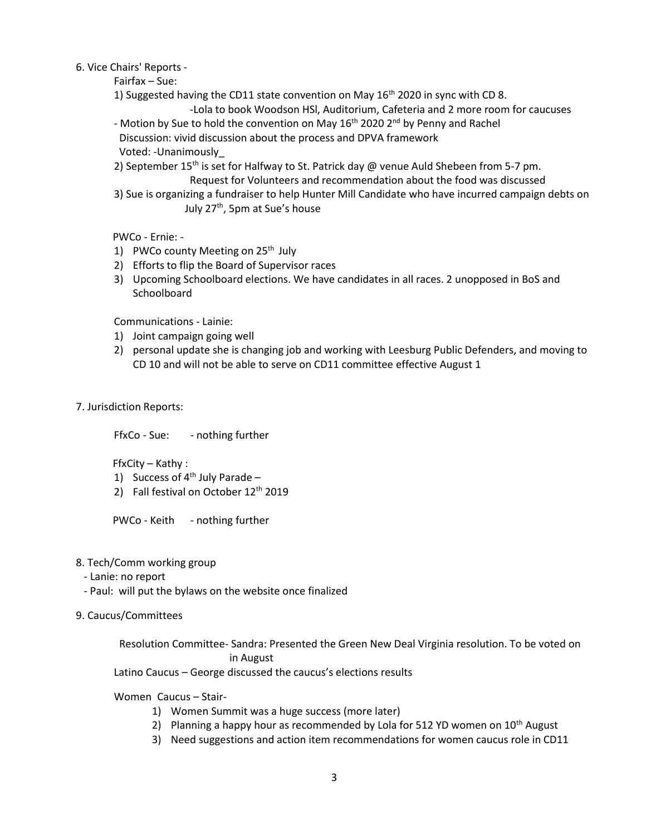- 6. Vice Chairs' Reports
	- Fairfax Sue:
	- 1) Suggested having the CD11 state convention on May  $16<sup>th</sup>$  2020 in sync with CD 8.
		- -Lola to book Woodson HSl, Auditorium, Cafeteria and 2 more room for caucuses
	- Motion by Sue to hold the convention on May 16<sup>th</sup> 2020 2<sup>nd</sup> by Penny and Rachel Discussion: vivid discussion about the process and DPVA framework Voted: -Unanimously\_
	- 2) September 15<sup>th</sup> is set for Halfway to St. Patrick day @ venue Auld Shebeen from 5-7 pm. Request for Volunteers and recommendation about the food was discussed
	- 3) Sue is organizing a fundraiser to help Hunter Mill Candidate who have incurred campaign debts on July 27<sup>th</sup>, 5pm at Sue's house

PWCo - Ernie: -

- 1) PWCo county Meeting on  $25<sup>th</sup>$  July
- 2) Efforts to flip the Board of Supervisor races
- 3) Upcoming Schoolboard elections. We have candidates in all races. 2 unopposed in BoS and **Schoolboard**

Communications - Lainie:

- 1) Joint campaign going well
- 2) personal update she is changing job and working with Leesburg Public Defenders, and moving to CD 10 and will not be able to serve on CD11 committee effective August 1
- 7. Jurisdiction Reports:

FfxCo - Sue: - nothing further

FfxCity – Kathy :

- 1) Success of  $4^{th}$  July Parade –
- 2) Fall festival on October  $12<sup>th</sup>$  2019

PWCo - Keith - nothing further

- 8. Tech/Comm working group
	- Lanie: no report
	- Paul: will put the bylaws on the website once finalized
- 9. Caucus/Committees

Resolution Committee- Sandra: Presented the Green New Deal Virginia resolution. To be voted on in August

Latino Caucus – George discussed the caucus's elections results

Women Caucus – Stair-

- 1) Women Summit was a huge success (more later)
- 2) Planning a happy hour as recommended by Lola for 512 YD women on  $10<sup>th</sup>$  August
- 3) Need suggestions and action item recommendations for women caucus role in CD11